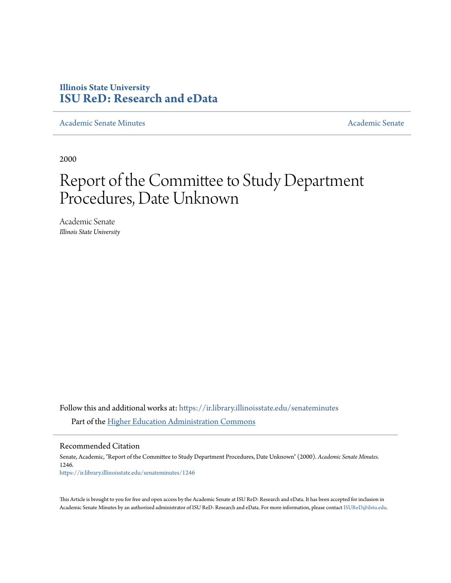# **Illinois State University [ISU ReD: Research and eData](https://ir.library.illinoisstate.edu?utm_source=ir.library.illinoisstate.edu%2Fsenateminutes%2F1246&utm_medium=PDF&utm_campaign=PDFCoverPages)**

[Academic Senate Minutes](https://ir.library.illinoisstate.edu/senateminutes?utm_source=ir.library.illinoisstate.edu%2Fsenateminutes%2F1246&utm_medium=PDF&utm_campaign=PDFCoverPages) [Academic Senate](https://ir.library.illinoisstate.edu/senate?utm_source=ir.library.illinoisstate.edu%2Fsenateminutes%2F1246&utm_medium=PDF&utm_campaign=PDFCoverPages) Academic Senate Academic Senate

2000

# Report of the Committee to Study Department Procedures, Date Unknown

Academic Senate *Illinois State University*

Follow this and additional works at: [https://ir.library.illinoisstate.edu/senateminutes](https://ir.library.illinoisstate.edu/senateminutes?utm_source=ir.library.illinoisstate.edu%2Fsenateminutes%2F1246&utm_medium=PDF&utm_campaign=PDFCoverPages) Part of the [Higher Education Administration Commons](http://network.bepress.com/hgg/discipline/791?utm_source=ir.library.illinoisstate.edu%2Fsenateminutes%2F1246&utm_medium=PDF&utm_campaign=PDFCoverPages)

Recommended Citation

Senate, Academic, "Report of the Committee to Study Department Procedures, Date Unknown" (2000). *Academic Senate Minutes*. 1246. [https://ir.library.illinoisstate.edu/senateminutes/1246](https://ir.library.illinoisstate.edu/senateminutes/1246?utm_source=ir.library.illinoisstate.edu%2Fsenateminutes%2F1246&utm_medium=PDF&utm_campaign=PDFCoverPages)

This Article is brought to you for free and open access by the Academic Senate at ISU ReD: Research and eData. It has been accepted for inclusion in Academic Senate Minutes by an authorized administrator of ISU ReD: Research and eData. For more information, please contact [ISUReD@ilstu.edu.](mailto:ISUReD@ilstu.edu)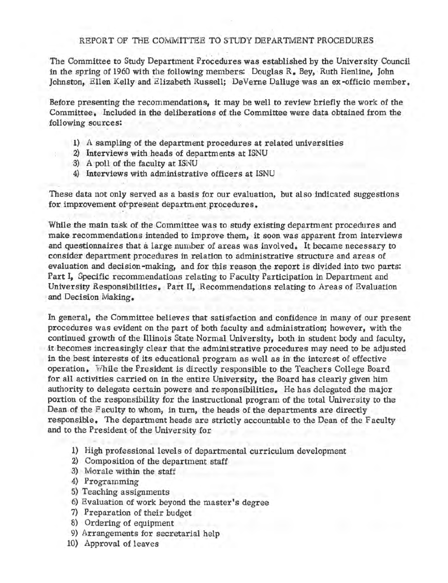## REPORT OF THE COMMITTEE TO STUDY DEPARTMENT PROCEDURES

The Committee to Study Department Procedures was established by the University Council in the spring of 1960 with the following members: Douglas  $R_$ . Bey, Ruth Henline, John Johnston, Ellen Kelly and Elizabeth Russell; De Verne Dalluge was an ex-officio member.

Before presenting the recommendations, it may be well to review briefly the work of the Committee. Included in the deliberations of the Committee were data obtained from the following sources:

- 1) A sampling of the department procedures at related universities
- 2) Interviews with heads of departments at ISNU
	- 3) A poll of the faculty at ISNU
		- 4) Interviews with administrative officers at ISNU

These data not only served as a basis for our evaluation, but also indicated suggestions for improvement of present department procedures.

While the main task of the Committee was to study existing department procedures and make recommendations intended to improve them, it soon was apparent from interviews and questionnaires that a large number of areas was involved. It became necessary to consider department procedures in relation to administrative structure and areas of evaluation and decision-making, and for this reason the report is divided into two parts: Part I, Specific recommendations relating to Faculty Participation in Department and University Responsibilities. Part II, Recommendations relating to Areas of Evaluation and Decision Making.

In general, the Committee believes that satisfaction and confidence in many of our present procedures was evident on the part of both faculty and administration; however, with the continued growth of the Illinois State Normal University, both in student body and faculty, .it becomes increasingly clear that the administrative procedures may need to be adjusted in the best interests of its educational program as well as in the interest of effective operation. While the President is directly responsible to the Teachers College Board for all activities carried on in the entire University, the Board has clearly given him authority to delegate certain powers and responsibilities. He has delegated the major portion of the responsibility for the instructional program of the total University to the Dean. of the Faculty to whom, in tum, the heads of the departments are directly responsible. The department heads are strictly accountable to the Dean of the Faculty and to the President of the University for

- 1) High professional levels of departmental curriculum development
- 2) Composition of the department staff
- 3) Morale within the staff
- 4) Programming
- 5) Teaching assignments
- 6) Evaluation of work beyond the master's degree
- 7) Preparation of their budget
- 8) Ordering of equipment
- 9) Arrangements for secretarial help
- 10) Approval of leaves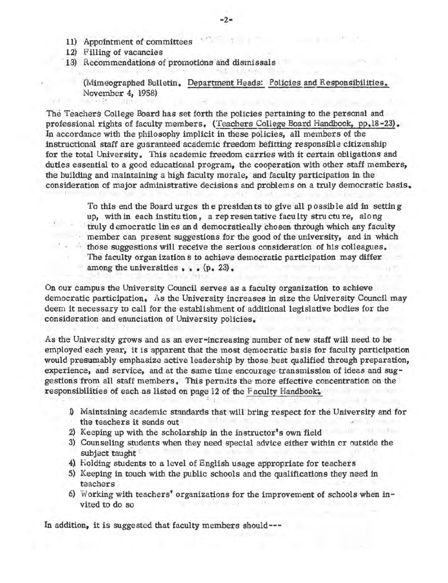- 11) Appointment of committees
- 12) Filling of vacancies
- 13) Recommendations of promotions and dismissals

(Mimeographed Bulletin. Department Heads: Policies and Responsibilities. November 4, 1958)

The Teachers College Board has set forth the policies pertaining to the personal and professional rights of faculty members. (Teachers College Board Handbook, pp.18-23). In accordance with the philosophy implicit in these policies, all members of the instructional staff are guaranteed academic freedom befitting responsible citizenship for the total University. This academic freedom carries with it certain obligations and duties essential to a good educational program, the cooperation with other staff members, the building and maintaining a high faculty morale, and faculty participation in. the consideration of major administrative decisions and problems on a truly democratic basis.

> To this end the Board urges the presidents to give all possible aid in setting up, with in each institution, a representative faculty stru ctu re, along truly democratic lines and democratically chosen through which any faculty member can present suggestions for the good of the university, and in which those suggestions will receive the serious consideration of his colleagues. The faculty organ ization s to achieve democratic participation may differ. among the universities  $\cdot \cdot \cdot (p \cdot 23)$ .

On our campus the University Council serves as a faculty organization to achieve democratic participation. As the University increases in size the University Council may deem it necessary to call for the establishment of additional legislative bodies for the consideration and enunciation of University policies.

As the University grows and as an ever-increasing number of new staff will need to be employed each year, it is apparent that the most democratic basis for faculty participation would presumably emphasize active leadership by those best qualified through preparation, experience, and service. and at the same time encourage transmission of ideas and sug· gestions from all staff members. This permits the more effective concentration on the responsibilities of each as listed on page 12 of the F aculty Handbook.

- J) Maintaining academic standards that will bring respect for the University and for the teachers it sends out
- 2) Keeping up with the scholarship in the instructor's own field
- 3) Counseling students when they need special advice either within or outside the subject taught
- 4) Holding students to a level of English usage appropriate for teachers
- 5) Keeping in touch with the public schools and the qualifications they need in teachers
- 6) Working with teachers' organizations for the improvement of schools when invited to do so

In addition, it is suggested that faculty members should---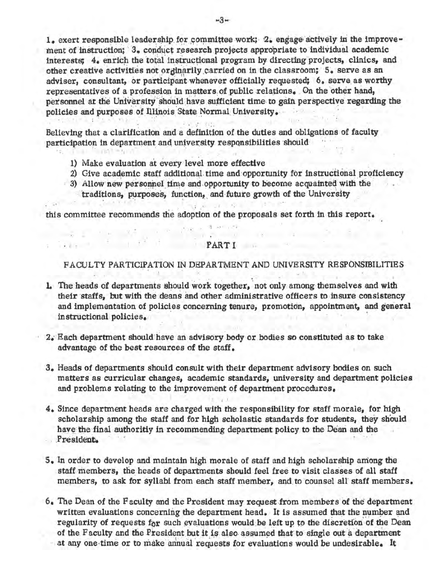1. exert responsible leadership for committee work; 2. engage actively in the improvement of instruction; 3. conduct research projects appropriate to individual academic interests; 4. enrich the total instructional program by directing projects, clinics, and other creative activities not or dinarily carried on in the classroom; 5, serve as an adviser, consultant, or participant whenever officially requested; 6, serve as worthy representatives of a profession in matters of public relations. On the other hand, personnel at the University should have sufficient time to gain perspective regarding the policies and purposes of Illinois State Normal University.

Believing that a clarification and a definition of the duties and obligations of faculty participation in department and university responsibilities should

- 1) Make evaluation at every level more effective
- 2) Give academic staff additional time and opportunity for instructional proficiency
- 3) Allow new personnel time and opportunity to become acquainted with the traditions, purposes, function, and future growth of the University

this committee recommends the adoption of the proposals set forth in this report.

#### PART I

FACULTY PARTICIPATION IN DEPARTMENT AND UNIVERSITY RESPONSIBILITIES

- 1. The heads of departments should work together, not only among themselves and with their staffs, but with the deans and other administrative officers to insure consistency and implementation of policies concerning tenure, promotion, appointment, and general instructional policies.
- 2. Each department should have an advisory body or bodies so constituted as to take advantage of the best resources of the staff.
- 3. Heads of departments should consult with their department advisory bodies on such matters as curricular changes, academic standards, university and department policies and problems relating to the improvement of department procedures.
- 4. Since department heads are charged with the responsibility for staff morale, for high scholarship among the staff and for high scholastic standards for students, they should have the final authoritiy in recommending department policy to the Dean and the President.
- 5. In order to develop and maintain high morale of staff and high scholarship among the staff members, the heads of departments should feel free to visit classes of all staff members, to ask for syllabi from each staff member, and to counsel all staff members.
- 6. The Dean of the Faculty and the President may request from members of the department written evaluations concerning the department head. It is assumed that the number and regularity of requests for such evaluations would be left up to the discretion of the Dean of the Faculty and the President but it is also assumed that to single out a department at any one time or to make annual requests for evaluations would be undesirable. It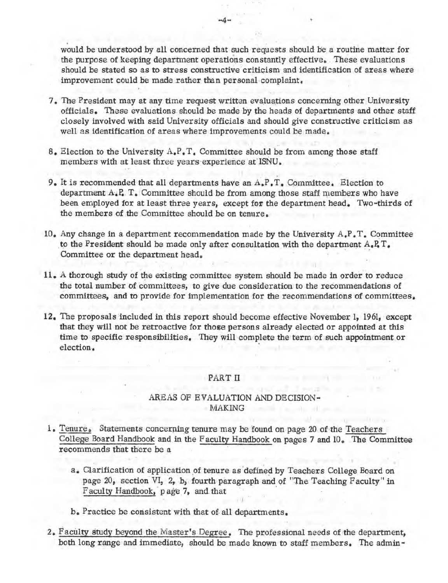would be understood by all concerned that such requests should be a routine matter for the purpose of keeping department operations constantly effective. These evaluations should be stated so as to stress constructive criticism and identification of areas where improvement could be made rather than personal complaint.

-4-

- 7. The President may at any time request written evaluations concerning other University officials. These evaluations. should be made by the heads of departments and other staff closely involved with said University officials and should give constructive criticism as well as identification of areas where improvements could be made.
- 8. Election to the University  $A$ ,  $P$ ,  $T$ , Committee should be from among those staff members with at least three years experience at ISNU.
- 9. It is recommended that all departments have an A.P. T. Committee. Election to department  $A \downarrow P$ . T. Committee should be from among those staff members who have been employed for at least three years, except for the department head. Two-thirds of the members of the Committee should be on tenure.
- 10. Any change in a department recommendation made by the University A.P. T. Committee to the President should be made only after consultation with the department  $A_e P_e T_e$ . Committee or the department head.
- 11. A thorough study of the existing committee system should be made in order to reduce the total number of committees, to give due consideration to the recommendations of committees, and to provide for implementation for the recommendations of committees.
- 12. The proposals included in this report should become effective November I, 1961, except that they will not be retroactive for thoee persons already elected or appointed at this time to specific responsibilities. They will complete the term of such appointment or election.

## PART II

# AREAS OF EVALUATION AND DECISION- **MAKING**

- 1. Tenure. Statements concerning tenure may be found on page 20 of the Teachers College Board Handbook and in the Faculty Handbook on pages 7 and 10. The Committee recommends that there be a
	- a. Clarification of application of tenure as defined by Teachers College Board on page 20, section VI, 2, b, fourth paragraph and of "The Teaching Faculty" in Faculty Handbook, page 7, and that

b. Practice be consistent with that of. all departments.

2. Faculty study beyond the Master's Degree. The professional needs of the department, both long range and immediate, should be made known to staff members. The admin•